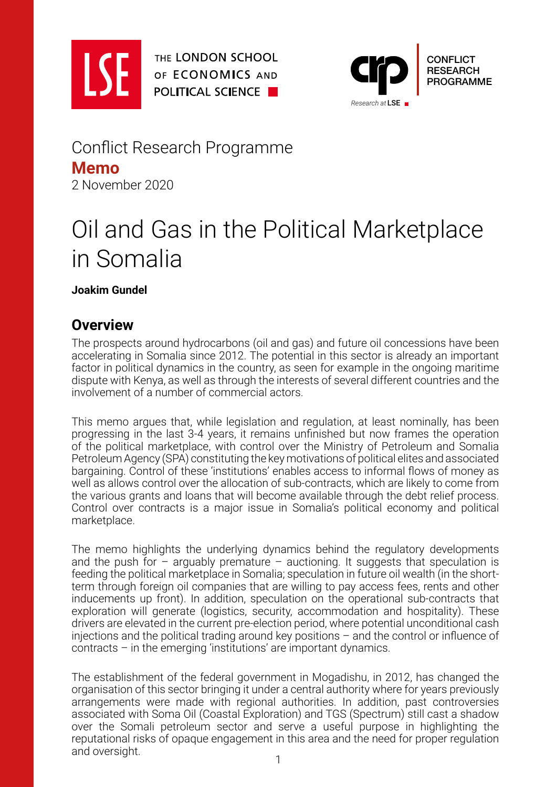

THE LONDON SCHOOL OF ECONOMICS AND **POLITICAL SCIENCE** 



Conflict Research Programme **Memo** 2 November 2020

# Oil and Gas in the Political Marketplace in Somalia

**Joakim Gundel**

### **Overview**

The prospects around hydrocarbons (oil and gas) and future oil concessions have been accelerating in Somalia since 2012. The potential in this sector is already an important factor in political dynamics in the country, as seen for example in the ongoing maritime dispute with Kenya, as well as through the interests of several different countries and the involvement of a number of commercial actors.

This memo argues that, while legislation and regulation, at least nominally, has been progressing in the last 3-4 years, it remains unfinished but now frames the operation of the political marketplace, with control over the Ministry of Petroleum and Somalia Petroleum Agency (SPA) constituting the key motivations of political elites and associated bargaining. Control of these 'institutions' enables access to informal flows of money as well as allows control over the allocation of sub-contracts, which are likely to come from the various grants and loans that will become available through the debt relief process. Control over contracts is a major issue in Somalia's political economy and political marketplace.

The memo highlights the underlying dynamics behind the regulatory developments and the push for – arguably premature – auctioning. It suggests that speculation is feeding the political marketplace in Somalia; speculation in future oil wealth (in the shortterm through foreign oil companies that are willing to pay access fees, rents and other inducements up front). In addition, speculation on the operational sub-contracts that exploration will generate (logistics, security, accommodation and hospitality). These drivers are elevated in the current pre-election period, where potential unconditional cash injections and the political trading around key positions – and the control or influence of contracts – in the emerging 'institutions' are important dynamics.

The establishment of the federal government in Mogadishu, in 2012, has changed the organisation of this sector bringing it under a central authority where for years previously arrangements were made with regional authorities. In addition, past controversies associated with Soma Oil (Coastal Exploration) and TGS (Spectrum) still cast a shadow over the Somali petroleum sector and serve a useful purpose in highlighting the reputational risks of opaque engagement in this area and the need for proper regulation and oversight.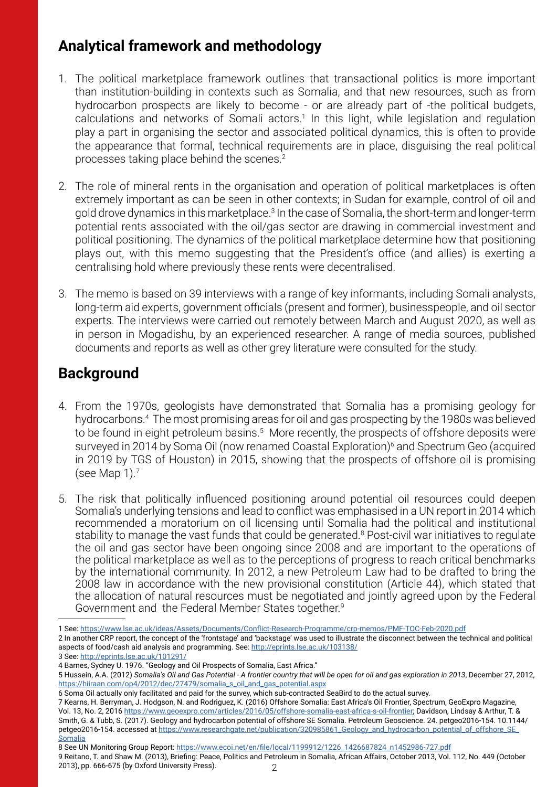# **Analytical framework and methodology**

- 1. The political marketplace framework outlines that transactional politics is more important than institution-building in contexts such as Somalia, and that new resources, such as from hydrocarbon prospects are likely to become - or are already part of -the political budgets, calculations and networks of Somali actors.<sup>1</sup> In this light, while legislation and regulation play a part in organising the sector and associated political dynamics, this is often to provide the appearance that formal, technical requirements are in place, disguising the real political processes taking place behind the scenes.2
- 2. The role of mineral rents in the organisation and operation of political marketplaces is often extremely important as can be seen in other contexts; in Sudan for example, control of oil and gold drove dynamics in this marketplace.<sup>3</sup> In the case of Somalia, the short-term and longer-term potential rents associated with the oil/gas sector are drawing in commercial investment and political positioning. The dynamics of the political marketplace determine how that positioning plays out, with this memo suggesting that the President's office (and allies) is exerting a centralising hold where previously these rents were decentralised.
- 3. The memo is based on 39 interviews with a range of key informants, including Somali analysts, long-term aid experts, government officials (present and former), businesspeople, and oil sector experts. The interviews were carried out remotely between March and August 2020, as well as in person in Mogadishu, by an experienced researcher. A range of media sources, published documents and reports as well as other grey literature were consulted for the study.

# **Background**

- 4. From the 1970s, geologists have demonstrated that Somalia has a promising geology for hydrocarbons.4 The most promising areas for oil and gas prospecting by the 1980s was believed to be found in eight petroleum basins.<sup>5</sup> More recently, the prospects of offshore deposits were surveyed in 2014 by Soma Oil (now renamed Coastal Exploration)<sup>6</sup> and Spectrum Geo (acquired in 2019 by TGS of Houston) in 2015, showing that the prospects of offshore oil is promising (see Map 1).7
- 5. The risk that politically influenced positioning around potential oil resources could deepen Somalia's underlying tensions and lead to conflict was emphasised in a UN report in 2014 which recommended a moratorium on oil licensing until Somalia had the political and institutional stability to manage the vast funds that could be generated.<sup>8</sup> Post-civil war initiatives to regulate the oil and gas sector have been ongoing since 2008 and are important to the operations of the political marketplace as well as to the perceptions of progress to reach critical benchmarks by the international community. In 2012, a new Petroleum Law had to be drafted to bring the 2008 law in accordance with the new provisional constitution (Article 44), which stated that the allocation of natural resources must be negotiated and jointly agreed upon by the Federal Government and the Federal Member States together.9

8 See UN Monitoring Group Report: [https://www.ecoi.net/en/file/local/1199912/1226\\_1426687824\\_n1452986-727.pdf](https://www.ecoi.net/en/file/local/1199912/1226_1426687824_n1452986-727.pdf) 9 Reitano, T. and Shaw M. (2013), Briefing: Peace, Politics and Petroleum in Somalia, African Affairs, October 2013, Vol. 112, No. 449 (October 2013), pp. 666-675 (by Oxford University Press).

<sup>1</sup> See: <https://www.lse.ac.uk/ideas/Assets/Documents/Conflict-Research-Programme/crp-memos/PMF-TOC-Feb-2020.pdf>

<sup>2</sup> In another CRP report, the concept of the 'frontstage' and 'backstage' was used to illustrate the disconnect between the technical and political aspects of food/cash aid analysis and programming. See: <http://eprints.lse.ac.uk/103138/>

<sup>3</sup> See: <http://eprints.lse.ac.uk/101291/>

<sup>4</sup> Barnes, Sydney U. 1976. "Geology and Oil Prospects of Somalia, East Africa."

<sup>5</sup> Hussein, A.A. (2012) *Somalia's Oil and Gas Potential - A frontier country that will be open for oil and gas exploration in 2013*, December 27, 2012, [https://hiiraan.com/op4/2012/dec/27479/somalia\\_s\\_oil\\_and\\_gas\\_potential.aspx](https://hiiraan.com/op4/2012/dec/27479/somalia_s_oil_and_gas_potential.aspx)

<sup>6</sup> Soma Oil actually only facilitated and paid for the survey, which sub-contracted SeaBird to do the actual survey.

<sup>7</sup> Kearns, H. Berryman, J. Hodgson, N. and Rodriguez, K. (2016) Offshore Somalia: East Africa's Oil Frontier, Spectrum, GeoExpro Magazine, Vol. 13, No. 2, 2016 <https://www.geoexpro.com/articles/2016/05/offshore-somalia-east-africa-s-oil-frontier>; Davidson, Lindsay & Arthur, T. & Smith, G. & Tubb, S. (2017). Geology and hydrocarbon potential of offshore SE Somalia. Petroleum Geoscience. 24. petgeo2016-154. 10.1144/ petgeo2016-154. accessed at [https://www.researchgate.net/publication/320985861\\_Geology\\_and\\_hydrocarbon\\_potential\\_of\\_offshore\\_SE\\_](https://www.researchgate.net/publication/320985861_Geology_and_hydrocarbon_potential_of_offshore_SE_Somalia) [Somalia](https://www.researchgate.net/publication/320985861_Geology_and_hydrocarbon_potential_of_offshore_SE_Somalia)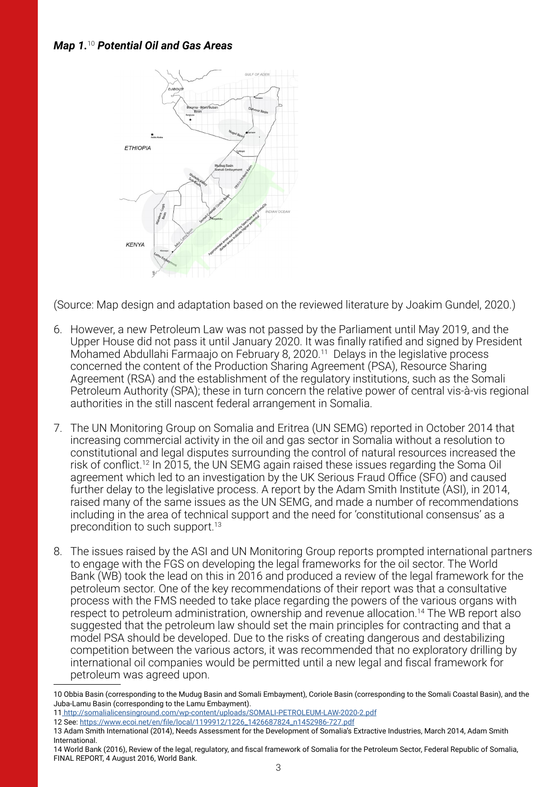#### *Map 1.*<sup>10</sup> *Potential Oil and Gas Areas*



(Source: Map design and adaptation based on the reviewed literature by Joakim Gundel, 2020.)

- 6. However, a new Petroleum Law was not passed by the Parliament until May 2019, and the Upper House did not pass it until January 2020. It was finally ratified and signed by President Mohamed Abdullahi Farmaajo on February 8, 2020.<sup>11</sup> Delays in the legislative process concerned the content of the Production Sharing Agreement (PSA), Resource Sharing Agreement (RSA) and the establishment of the regulatory institutions, such as the Somali Petroleum Authority (SPA); these in turn concern the relative power of central vis-à-vis regional authorities in the still nascent federal arrangement in Somalia.
- 7. The UN Monitoring Group on Somalia and Eritrea (UN SEMG) reported in October 2014 that increasing commercial activity in the oil and gas sector in Somalia without a resolution to constitutional and legal disputes surrounding the control of natural resources increased the risk of conflict.<sup>12</sup> In 2015, the UN SEMG again raised these issues regarding the Soma Oil agreement which led to an investigation by the UK Serious Fraud Office (SFO) and caused further delay to the legislative process. A report by the Adam Smith Institute (ASI), in 2014, raised many of the same issues as the UN SEMG, and made a number of recommendations including in the area of technical support and the need for 'constitutional consensus' as a precondition to such support.13
- 8. The issues raised by the ASI and UN Monitoring Group reports prompted international partners to engage with the FGS on developing the legal frameworks for the oil sector. The World Bank (WB) took the lead on this in 2016 and produced a review of the legal framework for the petroleum sector. One of the key recommendations of their report was that a consultative process with the FMS needed to take place regarding the powers of the various organs with respect to petroleum administration, ownership and revenue allocation.<sup>14</sup> The WB report also suggested that the petroleum law should set the main principles for contracting and that a model PSA should be developed. Due to the risks of creating dangerous and destabilizing competition between the various actors, it was recommended that no exploratory drilling by international oil companies would be permitted until a new legal and fiscal framework for petroleum was agreed upon.

11<http://somalialicensinground.com/wp-content/uploads/SOMALI-PETROLEUM-LAW-2020-2.pdf>

- 13 Adam Smith International (2014), Needs Assessment for the Development of Somalia's Extractive Industries, March 2014, Adam Smith International.
- 14 World Bank (2016), Review of the legal, regulatory, and fiscal framework of Somalia for the Petroleum Sector, Federal Republic of Somalia, FINAL REPORT, 4 August 2016, World Bank.

<sup>10</sup> Obbia Basin (corresponding to the Mudug Basin and Somali Embayment), Coriole Basin (corresponding to the Somali Coastal Basin), and the Juba-Lamu Basin (corresponding to the Lamu Embayment).

<sup>12</sup> See: [https://www.ecoi.net/en/file/local/1199912/1226\\_1426687824\\_n1452986-727.pdf](https://www.ecoi.net/en/file/local/1199912/1226_1426687824_n1452986-727.pdf)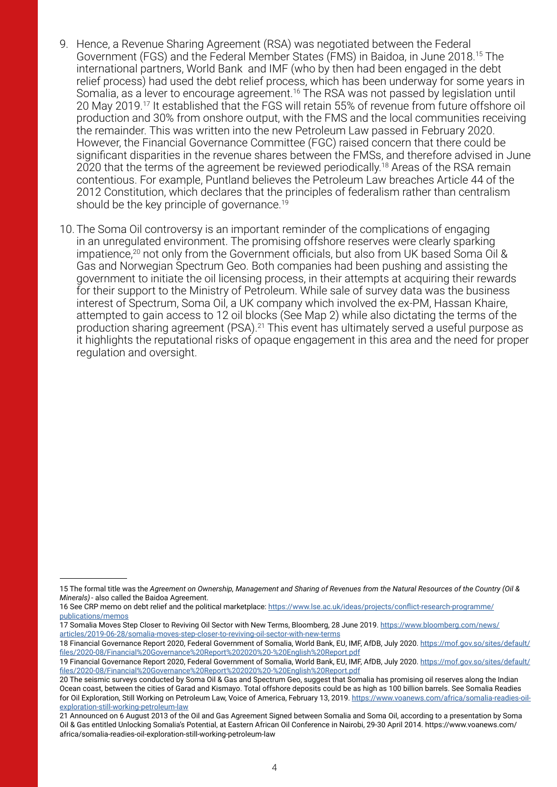- 9. Hence, a Revenue Sharing Agreement (RSA) was negotiated between the Federal Government (FGS) and the Federal Member States (FMS) in Baidoa, in June 2018.15 The international partners, World Bank and IMF (who by then had been engaged in the debt relief process) had used the debt relief process, which has been underway for some years in Somalia, as a lever to encourage agreement.<sup>16</sup> The RSA was not passed by legislation until 20 May 2019.17 It established that the FGS will retain 55% of revenue from future offshore oil production and 30% from onshore output, with the FMS and the local communities receiving the remainder. This was written into the new Petroleum Law passed in February 2020. However, the Financial Governance Committee (FGC) raised concern that there could be significant disparities in the revenue shares between the FMSs, and therefore advised in June 2020 that the terms of the agreement be reviewed periodically.<sup>18</sup> Areas of the RSA remain contentious. For example, Puntland believes the Petroleum Law breaches Article 44 of the 2012 Constitution, which declares that the principles of federalism rather than centralism should be the key principle of governance.<sup>19</sup>
- 10. The Soma Oil controversy is an important reminder of the complications of engaging in an unregulated environment. The promising offshore reserves were clearly sparking impatience,<sup>20</sup> not only from the Government officials, but also from UK based Soma Oil & Gas and Norwegian Spectrum Geo. Both companies had been pushing and assisting the government to initiate the oil licensing process, in their attempts at acquiring their rewards for their support to the Ministry of Petroleum. While sale of survey data was the business interest of Spectrum, Soma Oil, a UK company which involved the ex-PM, Hassan Khaire, attempted to gain access to 12 oil blocks (See Map 2) while also dictating the terms of the production sharing agreement (PSA).<sup>21</sup> This event has ultimately served a useful purpose as it highlights the reputational risks of opaque engagement in this area and the need for proper regulation and oversight.

<sup>15</sup> The formal title was the *Agreement on Ownership, Management and Sharing of Revenues from the Natural Resources of the Country (Oil & Minerals)*- also called the Baidoa Agreement.

<sup>16</sup> See CRP memo on debt relief and the political marketplace: [https://www.lse.ac.uk/ideas/projects/conflict-research-programme/](https://www.lse.ac.uk/ideas/projects/conflict-research-programme/publications/memos) [publications/memos](https://www.lse.ac.uk/ideas/projects/conflict-research-programme/publications/memos)

<sup>17</sup> Somalia Moves Step Closer to Reviving Oil Sector with New Terms, Bloomberg, 28 June 2019. [https://www.bloomberg.com/news/](https://www.bloomberg.com/news/articles/2019-06-28/somalia-moves-step-closer-to-reviving-oil-sector-with-new-terms) [articles/2019-06-28/somalia-moves-step-closer-to-reviving-oil-sector-with-new-terms](https://www.bloomberg.com/news/articles/2019-06-28/somalia-moves-step-closer-to-reviving-oil-sector-with-new-terms)

<sup>18</sup> Financial Governance Report 2020, Federal Government of Somalia, World Bank, EU, IMF, AfDB, July 2020. [https://mof.gov.so/sites/default/](https://mof.gov.so/sites/default/files/2020-08/Financial Governance Report 2020 - English Report.pdf) [files/2020-08/Financial%20Governance%20Report%202020%20-%20English%20Report.pdf](https://mof.gov.so/sites/default/files/2020-08/Financial Governance Report 2020 - English Report.pdf)

<sup>19</sup> Financial Governance Report 2020, Federal Government of Somalia, World Bank, EU, IMF, AfDB, July 2020. [https://mof.gov.so/sites/default/](https://mof.gov.so/sites/default/files/2020-08/Financial Governance Report 2020 - English Report.pdf) [files/2020-08/Financial%20Governance%20Report%202020%20-%20English%20Report.pdf](https://mof.gov.so/sites/default/files/2020-08/Financial Governance Report 2020 - English Report.pdf)

<sup>20</sup> The seismic surveys conducted by Soma Oil & Gas and Spectrum Geo, suggest that Somalia has promising oil reserves along the Indian Ocean coast, between the cities of Garad and Kismayo. Total offshore deposits could be as high as 100 billion barrels. See Somalia Readies for Oil Exploration, Still Working on Petroleum Law, Voice of America, February 13, 2019. [https://www.voanews.com/africa/somalia-readies-oil](https://www.voanews.com/africa/somalia-readies-oil-exploration-still-working-petroleum-law)[exploration-still-working-petroleum-law](https://www.voanews.com/africa/somalia-readies-oil-exploration-still-working-petroleum-law)

<sup>21</sup> Announced on 6 August 2013 of the Oil and Gas Agreement Signed between Somalia and Soma Oil, according to a presentation by Soma Oil & Gas entitled Unlocking Somalia's Potential, at Eastern African Oil Conference in Nairobi, 29-30 April 2014. https://www.voanews.com/ africa/somalia-readies-oil-exploration-still-working-petroleum-law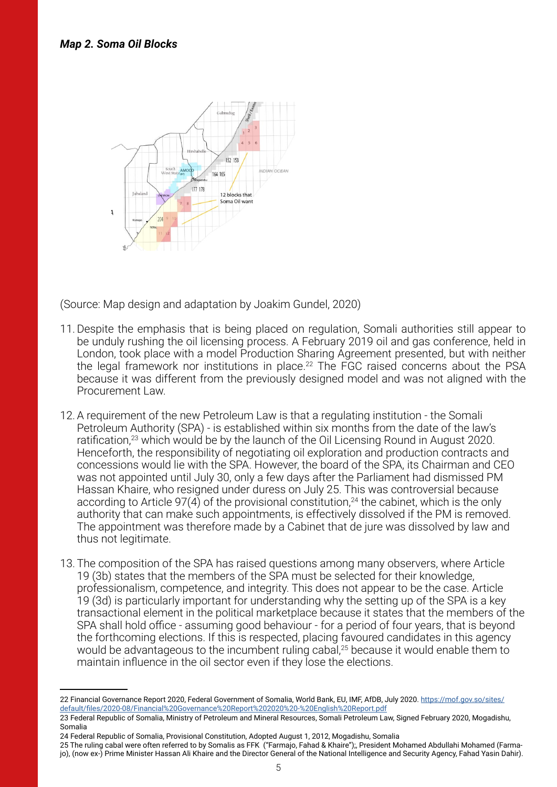

(Source: Map design and adaptation by Joakim Gundel, 2020)

- 11.Despite the emphasis that is being placed on regulation, Somali authorities still appear to be unduly rushing the oil licensing process. A February 2019 oil and gas conference, held in London, took place with a model Production Sharing Agreement presented, but with neither the legal framework nor institutions in place.<sup>22</sup> The FGC raised concerns about the PSA because it was different from the previously designed model and was not aligned with the Procurement Law.
- 12.A requirement of the new Petroleum Law is that a regulating institution the Somali Petroleum Authority (SPA) - is established within six months from the date of the law's ratification,<sup>23</sup> which would be by the launch of the Oil Licensing Round in August 2020. Henceforth, the responsibility of negotiating oil exploration and production contracts and concessions would lie with the SPA. However, the board of the SPA, its Chairman and CEO was not appointed until July 30, only a few days after the Parliament had dismissed PM Hassan Khaire, who resigned under duress on July 25. This was controversial because according to Article 97(4) of the provisional constitution,<sup>24</sup> the cabinet, which is the only authority that can make such appointments, is effectively dissolved if the PM is removed. The appointment was therefore made by a Cabinet that de jure was dissolved by law and thus not legitimate.
- 13. The composition of the SPA has raised questions among many observers, where Article 19 (3b) states that the members of the SPA must be selected for their knowledge, professionalism, competence, and integrity. This does not appear to be the case. Article 19 (3d) is particularly important for understanding why the setting up of the SPA is a key transactional element in the political marketplace because it states that the members of the SPA shall hold office - assuming good behaviour - for a period of four years, that is beyond the forthcoming elections. If this is respected, placing favoured candidates in this agency would be advantageous to the incumbent ruling cabal,<sup>25</sup> because it would enable them to maintain influence in the oil sector even if they lose the elections.

<sup>22</sup> Financial Governance Report 2020, Federal Government of Somalia, World Bank, EU, IMF, AfDB, July 2020. [https://mof.gov.so/sites/](https://mof.gov.so/sites/default/files/2020-08/Financial Governance Report 2020 - English Report.pdf) [default/files/2020-08/Financial%20Governance%20Report%202020%20-%20English%20Report.pdf](https://mof.gov.so/sites/default/files/2020-08/Financial Governance Report 2020 - English Report.pdf)

<sup>23</sup> Federal Republic of Somalia, Ministry of Petroleum and Mineral Resources, Somali Petroleum Law, Signed February 2020, Mogadishu, Somalia

<sup>24</sup> Federal Republic of Somalia, Provisional Constitution, Adopted August 1, 2012, Mogadishu, Somalia

<sup>25</sup> The ruling cabal were often referred to by Somalis as FFK ("Farmajo, Fahad & Khaire");, President Mohamed Abdullahi Mohamed (Farmajo), (now ex-) Prime Minister Hassan Ali Khaire and the Director General of the National Intelligence and Security Agency, Fahad Yasin Dahir).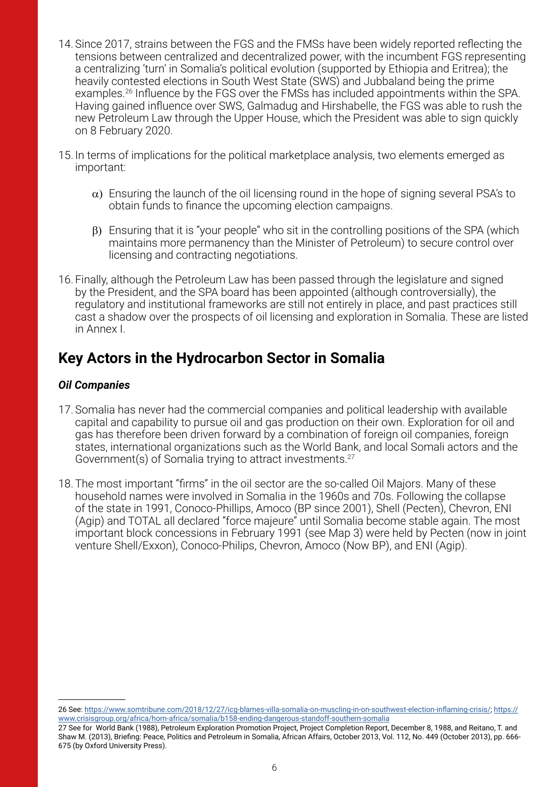- 14. Since 2017, strains between the FGS and the FMSs have been widely reported reflecting the tensions between centralized and decentralized power, with the incumbent FGS representing a centralizing 'turn' in Somalia's political evolution (supported by Ethiopia and Eritrea); the heavily contested elections in South West State (SWS) and Jubbaland being the prime examples.26 Influence by the FGS over the FMSs has included appointments within the SPA. Having gained influence over SWS, Galmadug and Hirshabelle, the FGS was able to rush the new Petroleum Law through the Upper House, which the President was able to sign quickly on 8 February 2020.
- 15. In terms of implications for the political marketplace analysis, two elements emerged as important:
	- $\alpha$ ) Ensuring the launch of the oil licensing round in the hope of signing several PSA's to obtain funds to finance the upcoming election campaigns.
	- $\beta$ ) Ensuring that it is "your people" who sit in the controlling positions of the SPA (which maintains more permanency than the Minister of Petroleum) to secure control over licensing and contracting negotiations.
- 16. Finally, although the Petroleum Law has been passed through the legislature and signed by the President, and the SPA board has been appointed (although controversially), the regulatory and institutional frameworks are still not entirely in place, and past practices still cast a shadow over the prospects of oil licensing and exploration in Somalia. These are listed in Annex I.

# **Key Actors in the Hydrocarbon Sector in Somalia**

#### *Oil Companies*

- 17. Somalia has never had the commercial companies and political leadership with available capital and capability to pursue oil and gas production on their own. Exploration for oil and gas has therefore been driven forward by a combination of foreign oil companies, foreign states, international organizations such as the World Bank, and local Somali actors and the Government(s) of Somalia trying to attract investments.27
- 18. The most important "firms" in the oil sector are the so-called Oil Majors. Many of these household names were involved in Somalia in the 1960s and 70s. Following the collapse of the state in 1991, Conoco-Phillips, Amoco (BP since 2001), Shell (Pecten), Chevron, ENI (Agip) and TOTAL all declared "force majeure" until Somalia become stable again. The most important block concessions in February 1991 (see Map 3) were held by Pecten (now in joint venture Shell/Exxon), Conoco-Philips, Chevron, Amoco (Now BP), and ENI (Agip).

<sup>26</sup> See:<https://www.somtribune.com/2018/12/27/icg-blames-villa-somalia-on-muscling-in-on-southwest-election-inflaming-crisis/>; [https://](https://www.crisisgroup.org/africa/horn-africa/somalia/b158-ending-dangerous-standoff-southern-somalia) [www.crisisgroup.org/africa/horn-africa/somalia/b158-ending-dangerous-standoff-southern-somalia](https://www.crisisgroup.org/africa/horn-africa/somalia/b158-ending-dangerous-standoff-southern-somalia)

<sup>27</sup> See for World Bank (1988), Petroleum Exploration Promotion Project, Project Completion Report, December 8, 1988, and Reitano, T. and Shaw M. (2013), Briefing: Peace, Politics and Petroleum in Somalia, African Affairs, October 2013, Vol. 112, No. 449 (October 2013), pp. 666- 675 (by Oxford University Press).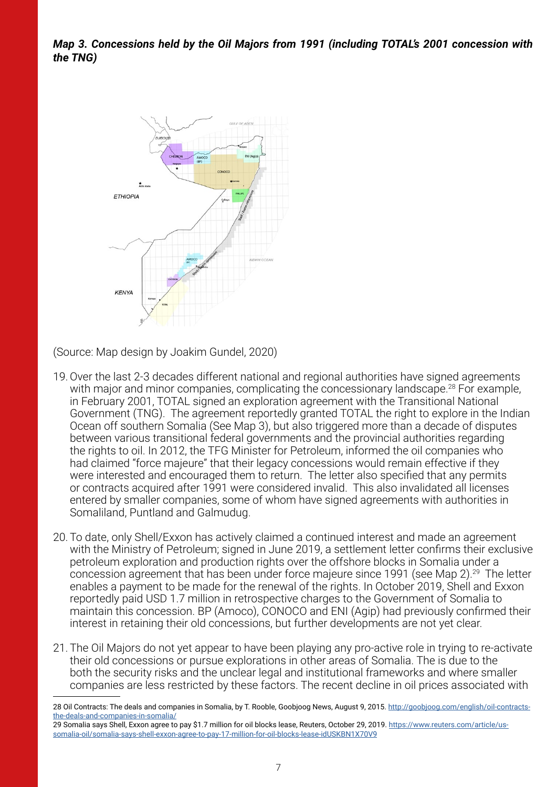*Map 3. Concessions held by the Oil Majors from 1991 (including TOTAL's 2001 concession with the TNG)* 



(Source: Map design by Joakim Gundel, 2020)

- 19.Over the last 2-3 decades different national and regional authorities have signed agreements with major and minor companies, complicating the concessionary landscape.<sup>28</sup> For example, in February 2001, TOTAL signed an exploration agreement with the Transitional National Government (TNG). The agreement reportedly granted TOTAL the right to explore in the Indian Ocean off southern Somalia (See Map 3), but also triggered more than a decade of disputes between various transitional federal governments and the provincial authorities regarding the rights to oil. In 2012, the TFG Minister for Petroleum, informed the oil companies who had claimed "force majeure" that their legacy concessions would remain effective if they were interested and encouraged them to return. The letter also specified that any permits or contracts acquired after 1991 were considered invalid. This also invalidated all licenses entered by smaller companies, some of whom have signed agreements with authorities in Somaliland, Puntland and Galmudug.
- 20. To date, only Shell/Exxon has actively claimed a continued interest and made an agreement with the Ministry of Petroleum; signed in June 2019, a settlement letter confirms their exclusive petroleum exploration and production rights over the offshore blocks in Somalia under a concession agreement that has been under force majeure since 1991 (see Map 2).29 The letter enables a payment to be made for the renewal of the rights. In October 2019, Shell and Exxon reportedly paid USD 1.7 million in retrospective charges to the Government of Somalia to maintain this concession. BP (Amoco), CONOCO and ENI (Agip) had previously confirmed their interest in retaining their old concessions, but further developments are not yet clear.
- 21. The Oil Majors do not yet appear to have been playing any pro-active role in trying to re-activate their old concessions or pursue explorations in other areas of Somalia. The is due to the both the security risks and the unclear legal and institutional frameworks and where smaller companies are less restricted by these factors. The recent decline in oil prices associated with

<sup>28</sup> Oil Contracts: The deals and companies in Somalia, by T. Rooble, Goobjoog News, August 9, 2015. [http://goobjoog.com/english/oil-contracts](http://goobjoog.com/english/oil-contracts-the-deals-and-companies-in-somalia/)[the-deals-and-companies-in-somalia/](http://goobjoog.com/english/oil-contracts-the-deals-and-companies-in-somalia/)

<sup>29</sup> Somalia says Shell, Exxon agree to pay \$1.7 million for oil blocks lease, Reuters, October 29, 2019. [https://www.reuters.com/article/us](https://www.reuters.com/article/us-somalia-oil/somalia-says-shell-exxon-agree-to-pay-17-million-for-oil-blocks-lease-idUSKBN1X70V9)[somalia-oil/somalia-says-shell-exxon-agree-to-pay-17-million-for-oil-blocks-lease-idUSKBN1X70V9](https://www.reuters.com/article/us-somalia-oil/somalia-says-shell-exxon-agree-to-pay-17-million-for-oil-blocks-lease-idUSKBN1X70V9)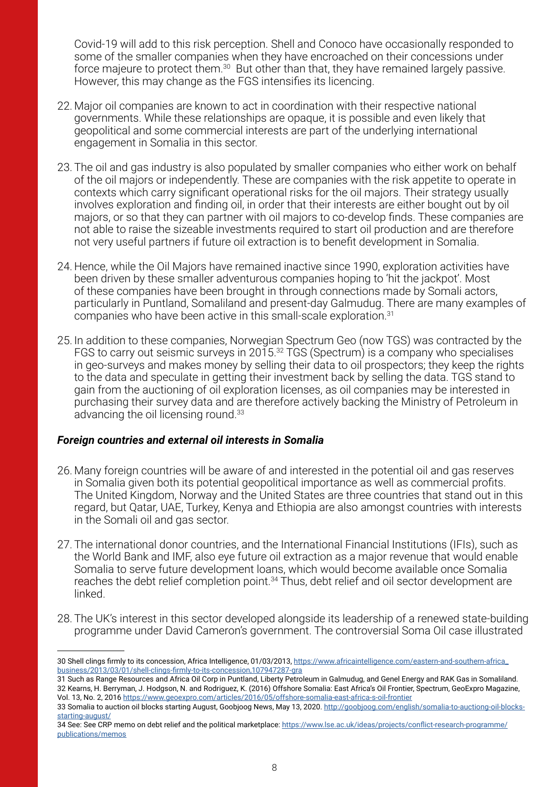Covid-19 will add to this risk perception. Shell and Conoco have occasionally responded to some of the smaller companies when they have encroached on their concessions under force majeure to protect them.<sup>30</sup> But other than that, they have remained largely passive. However, this may change as the FGS intensifies its licencing.

- 22. Major oil companies are known to act in coordination with their respective national governments. While these relationships are opaque, it is possible and even likely that geopolitical and some commercial interests are part of the underlying international engagement in Somalia in this sector.
- 23. The oil and gas industry is also populated by smaller companies who either work on behalf of the oil majors or independently. These are companies with the risk appetite to operate in contexts which carry significant operational risks for the oil majors. Their strategy usually involves exploration and finding oil, in order that their interests are either bought out by oil majors, or so that they can partner with oil majors to co-develop finds. These companies are not able to raise the sizeable investments required to start oil production and are therefore not very useful partners if future oil extraction is to benefit development in Somalia.
- 24. Hence, while the Oil Majors have remained inactive since 1990, exploration activities have been driven by these smaller adventurous companies hoping to 'hit the jackpot'. Most of these companies have been brought in through connections made by Somali actors, particularly in Puntland, Somaliland and present-day Galmudug. There are many examples of companies who have been active in this small-scale exploration.31
- 25. In addition to these companies, Norwegian Spectrum Geo (now TGS) was contracted by the FGS to carry out seismic surveys in 2015.32 TGS (Spectrum) is a company who specialises in geo-surveys and makes money by selling their data to oil prospectors; they keep the rights to the data and speculate in getting their investment back by selling the data. TGS stand to gain from the auctioning of oil exploration licenses, as oil companies may be interested in purchasing their survey data and are therefore actively backing the Ministry of Petroleum in advancing the oil licensing round.<sup>33</sup>

#### *Foreign countries and external oil interests in Somalia*

- 26. Many foreign countries will be aware of and interested in the potential oil and gas reserves in Somalia given both its potential geopolitical importance as well as commercial profits. The United Kingdom, Norway and the United States are three countries that stand out in this regard, but Qatar, UAE, Turkey, Kenya and Ethiopia are also amongst countries with interests in the Somali oil and gas sector.
- 27. The international donor countries, and the International Financial Institutions (IFIs), such as the World Bank and IMF, also eye future oil extraction as a major revenue that would enable Somalia to serve future development loans, which would become available once Somalia reaches the debt relief completion point.<sup>34</sup> Thus, debt relief and oil sector development are linked.
- 28. The UK's interest in this sector developed alongside its leadership of a renewed state-building programme under David Cameron's government. The controversial Soma Oil case illustrated

<sup>30</sup> Shell clings firmly to its concession, Africa Intelligence, 01/03/2013, [https://www.africaintelligence.com/eastern-and-southern-africa\\_](https://www.africaintelligence.com/eastern-and-southern-africa_business/2013/03/01/shell-clings-firmly-to-its-concession,107947287-gra) [business/2013/03/01/shell-clings-firmly-to-its-concession,107947287-gra](https://www.africaintelligence.com/eastern-and-southern-africa_business/2013/03/01/shell-clings-firmly-to-its-concession,107947287-gra)

<sup>31</sup> Such as Range Resources and Africa Oil Corp in Puntland, Liberty Petroleum in Galmudug, and Genel Energy and RAK Gas in Somaliland. 32 Kearns, H. Berryman, J. Hodgson, N. and Rodriguez, K. (2016) Offshore Somalia: East Africa's Oil Frontier, Spectrum, GeoExpro Magazine, Vol. 13, No. 2, 2016 <https://www.geoexpro.com/articles/2016/05/offshore-somalia-east-africa-s-oil-frontier>

<sup>33</sup> Somalia to auction oil blocks starting August, Goobjoog News, May 13, 2020. [http://goobjoog.com/english/somalia-to-auctiong-oil-blocks](http://goobjoog.com/english/somalia-to-auctiong-oil-blocks-starting-august/)[starting-august/](http://goobjoog.com/english/somalia-to-auctiong-oil-blocks-starting-august/)

<sup>34</sup> See: See CRP memo on debt relief and the political marketplace: [https://www.lse.ac.uk/ideas/projects/conflict-research-programme/](https://www.lse.ac.uk/ideas/projects/conflict-research-programme/publications/memos) [publications/memos](https://www.lse.ac.uk/ideas/projects/conflict-research-programme/publications/memos)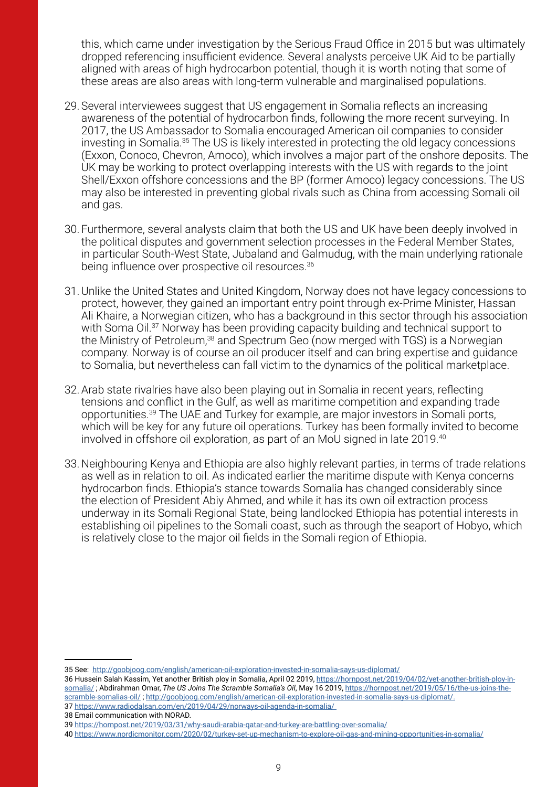this, which came under investigation by the Serious Fraud Office in 2015 but was ultimately dropped referencing insufficient evidence. Several analysts perceive UK Aid to be partially aligned with areas of high hydrocarbon potential, though it is worth noting that some of these areas are also areas with long-term vulnerable and marginalised populations.

- 29. Several interviewees suggest that US engagement in Somalia reflects an increasing awareness of the potential of hydrocarbon finds, following the more recent surveying. In 2017, the US Ambassador to Somalia encouraged American oil companies to consider investing in Somalia.35 The US is likely interested in protecting the old legacy concessions (Exxon, Conoco, Chevron, Amoco), which involves a major part of the onshore deposits. The UK may be working to protect overlapping interests with the US with regards to the joint Shell/Exxon offshore concessions and the BP (former Amoco) legacy concessions. The US may also be interested in preventing global rivals such as China from accessing Somali oil and gas.
- 30. Furthermore, several analysts claim that both the US and UK have been deeply involved in the political disputes and government selection processes in the Federal Member States, in particular South-West State, Jubaland and Galmudug, with the main underlying rationale being influence over prospective oil resources.<sup>36</sup>
- 31.Unlike the United States and United Kingdom, Norway does not have legacy concessions to protect, however, they gained an important entry point through ex-Prime Minister, Hassan Ali Khaire, a Norwegian citizen, who has a background in this sector through his association with Soma Oil.<sup>37</sup> Norway has been providing capacity building and technical support to the Ministry of Petroleum,<sup>38</sup> and Spectrum Geo (now merged with TGS) is a Norwegian company. Norway is of course an oil producer itself and can bring expertise and guidance to Somalia, but nevertheless can fall victim to the dynamics of the political marketplace.
- 32.Arab state rivalries have also been playing out in Somalia in recent years, reflecting tensions and conflict in the Gulf, as well as maritime competition and expanding trade opportunities.39 The UAE and Turkey for example, are major investors in Somali ports, which will be key for any future oil operations. Turkey has been formally invited to become involved in offshore oil exploration, as part of an MoU signed in late 2019.<sup>40</sup>
- 33. Neighbouring Kenya and Ethiopia are also highly relevant parties, in terms of trade relations as well as in relation to oil. As indicated earlier the maritime dispute with Kenya concerns hydrocarbon finds. Ethiopia's stance towards Somalia has changed considerably since the election of President Abiy Ahmed, and while it has its own oil extraction process underway in its Somali Regional State, being landlocked Ethiopia has potential interests in establishing oil pipelines to the Somali coast, such as through the seaport of Hobyo, which is relatively close to the major oil fields in the Somali region of Ethiopia.

<sup>35</sup> See: <http://goobjoog.com/english/american-oil-exploration-invested-in-somalia-says-us-diplomat/>

<sup>36</sup> Hussein Salah Kassim, Yet another British ploy in Somalia, April 02 2019, [https://hornpost.net/2019/04/02/yet-another-british-ploy-in](https://hornpost.net/2019/04/02/yet-another-british-ploy-in-somalia/)[somalia/](https://hornpost.net/2019/04/02/yet-another-british-ploy-in-somalia/) ; Abdirahman Omar, *The US Joins The Scramble Somalia's Oil*, May 16 2019, [https://hornpost.net/2019/05/16/the-us-joins-the](https://hornpost.net/2019/05/16/the-us-joins-the-scramble-somalias-oil/)[scramble-somalias-oil/](https://hornpost.net/2019/05/16/the-us-joins-the-scramble-somalias-oil/) ; [http://goobjoog.com/english/american-oil-exploration-invested-in-somalia-says-us-diplomat/.](http://goobjoog.com/english/american-oil-exploration-invested-in-somalia-says-us-diplomat/)

<sup>37</sup> <https://www.radiodalsan.com/en/2019/04/29/norways-oil-agenda-in-somalia/>

<sup>38</sup> Email communication with NORAD.

<sup>39</sup> <https://hornpost.net/2019/03/31/why-saudi-arabia-qatar-and-turkey-are-battling-over-somalia/>

<sup>40</sup> <https://www.nordicmonitor.com/2020/02/turkey-set-up-mechanism-to-explore-oil-gas-and-mining-opportunities-in-somalia/>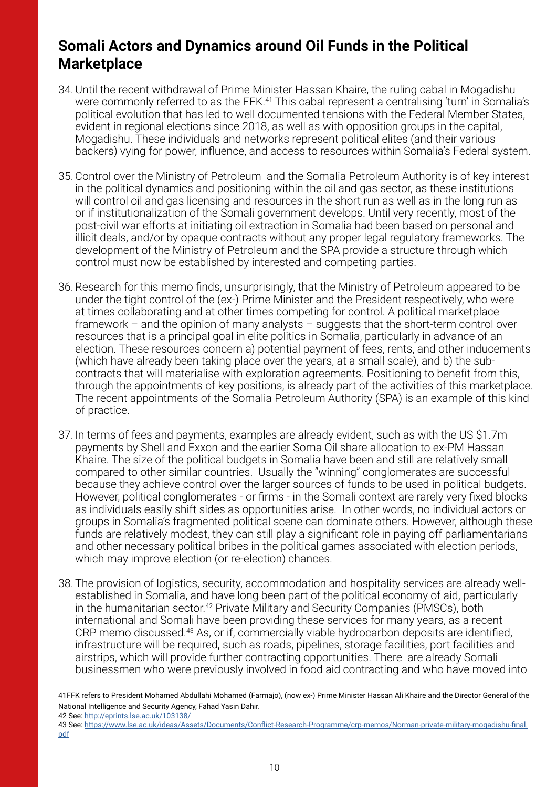## **Somali Actors and Dynamics around Oil Funds in the Political Marketplace**

- 34.Until the recent withdrawal of Prime Minister Hassan Khaire, the ruling cabal in Mogadishu were commonly referred to as the FFK.<sup>41</sup> This cabal represent a centralising 'turn' in Somalia's political evolution that has led to well documented tensions with the Federal Member States, evident in regional elections since 2018, as well as with opposition groups in the capital, Mogadishu. These individuals and networks represent political elites (and their various backers) vying for power, influence, and access to resources within Somalia's Federal system.
- 35.Control over the Ministry of Petroleum and the Somalia Petroleum Authority is of key interest in the political dynamics and positioning within the oil and gas sector, as these institutions will control oil and gas licensing and resources in the short run as well as in the long run as or if institutionalization of the Somali government develops. Until very recently, most of the post-civil war efforts at initiating oil extraction in Somalia had been based on personal and illicit deals, and/or by opaque contracts without any proper legal regulatory frameworks. The development of the Ministry of Petroleum and the SPA provide a structure through which control must now be established by interested and competing parties.
- 36.Research for this memo finds, unsurprisingly, that the Ministry of Petroleum appeared to be under the tight control of the (ex-) Prime Minister and the President respectively, who were at times collaborating and at other times competing for control. A political marketplace framework – and the opinion of many analysts – suggests that the short-term control over resources that is a principal goal in elite politics in Somalia, particularly in advance of an election. These resources concern a) potential payment of fees, rents, and other inducements (which have already been taking place over the years, at a small scale), and b) the subcontracts that will materialise with exploration agreements. Positioning to benefit from this, through the appointments of key positions, is already part of the activities of this marketplace. The recent appointments of the Somalia Petroleum Authority (SPA) is an example of this kind of practice.
- 37. In terms of fees and payments, examples are already evident, such as with the US \$1.7m payments by Shell and Exxon and the earlier Soma Oil share allocation to ex-PM Hassan Khaire. The size of the political budgets in Somalia have been and still are relatively small compared to other similar countries. Usually the "winning" conglomerates are successful because they achieve control over the larger sources of funds to be used in political budgets. However, political conglomerates - or firms - in the Somali context are rarely very fixed blocks as individuals easily shift sides as opportunities arise. In other words, no individual actors or groups in Somalia's fragmented political scene can dominate others. However, although these funds are relatively modest, they can still play a significant role in paying off parliamentarians and other necessary political bribes in the political games associated with election periods, which may improve election (or re-election) chances.
- 38. The provision of logistics, security, accommodation and hospitality services are already wellestablished in Somalia, and have long been part of the political economy of aid, particularly in the humanitarian sector.<sup>42</sup> Private Military and Security Companies (PMSCs), both international and Somali have been providing these services for many years, as a recent CRP memo discussed.<sup>43</sup> As, or if, commercially viable hydrocarbon deposits are identified, infrastructure will be required, such as roads, pipelines, storage facilities, port facilities and airstrips, which will provide further contracting opportunities. There are already Somali businessmen who were previously involved in food aid contracting and who have moved into

42 See:<http://eprints.lse.ac.uk/103138/>

<sup>41</sup>FFK refers to President Mohamed Abdullahi Mohamed (Farmajo), (now ex-) Prime Minister Hassan Ali Khaire and the Director General of the National Intelligence and Security Agency, Fahad Yasin Dahir.

<sup>43</sup> See: [https://www.lse.ac.uk/ideas/Assets/Documents/Conflict-Research-Programme/crp-memos/Norman-private-military-mogadishu-final.](https://www.lse.ac.uk/ideas/Assets/Documents/Conflict-Research-Programme/crp-memos/Norman-private-military-mogadishu-final.pdf) [pdf](https://www.lse.ac.uk/ideas/Assets/Documents/Conflict-Research-Programme/crp-memos/Norman-private-military-mogadishu-final.pdf)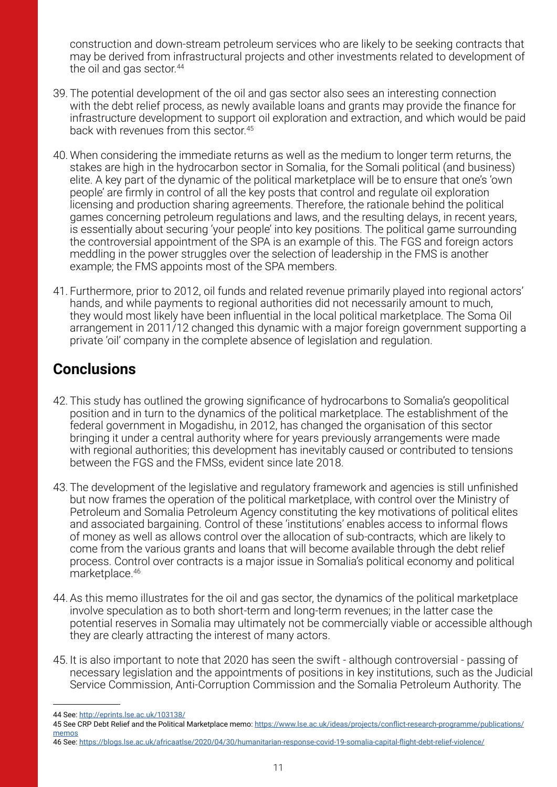construction and down-stream petroleum services who are likely to be seeking contracts that may be derived from infrastructural projects and other investments related to development of the oil and gas sector.<sup>44</sup>

- 39. The potential development of the oil and gas sector also sees an interesting connection with the debt relief process, as newly available loans and grants may provide the finance for infrastructure development to support oil exploration and extraction, and which would be paid back with revenues from this sector.45
- 40. When considering the immediate returns as well as the medium to longer term returns, the stakes are high in the hydrocarbon sector in Somalia, for the Somali political (and business) elite. A key part of the dynamic of the political marketplace will be to ensure that one's 'own people' are firmly in control of all the key posts that control and regulate oil exploration licensing and production sharing agreements. Therefore, the rationale behind the political games concerning petroleum regulations and laws, and the resulting delays, in recent years, is essentially about securing 'your people' into key positions. The political game surrounding the controversial appointment of the SPA is an example of this. The FGS and foreign actors meddling in the power struggles over the selection of leadership in the FMS is another example; the FMS appoints most of the SPA members.
- 41. Furthermore, prior to 2012, oil funds and related revenue primarily played into regional actors' hands, and while payments to regional authorities did not necessarily amount to much, they would most likely have been influential in the local political marketplace. The Soma Oil arrangement in 2011/12 changed this dynamic with a major foreign government supporting a private 'oil' company in the complete absence of legislation and regulation.

# **Conclusions**

- 42. This study has outlined the growing significance of hydrocarbons to Somalia's geopolitical position and in turn to the dynamics of the political marketplace. The establishment of the federal government in Mogadishu, in 2012, has changed the organisation of this sector bringing it under a central authority where for years previously arrangements were made with regional authorities; this development has inevitably caused or contributed to tensions between the FGS and the FMSs, evident since late 2018.
- 43. The development of the legislative and regulatory framework and agencies is still unfinished but now frames the operation of the political marketplace, with control over the Ministry of Petroleum and Somalia Petroleum Agency constituting the key motivations of political elites and associated bargaining. Control of these 'institutions' enables access to informal flows of money as well as allows control over the allocation of sub-contracts, which are likely to come from the various grants and loans that will become available through the debt relief process. Control over contracts is a major issue in Somalia's political economy and political marketplace.46
- 44.As this memo illustrates for the oil and gas sector, the dynamics of the political marketplace involve speculation as to both short-term and long-term revenues; in the latter case the potential reserves in Somalia may ultimately not be commercially viable or accessible although they are clearly attracting the interest of many actors.
- 45. It is also important to note that 2020 has seen the swift although controversial passing of necessary legislation and the appointments of positions in key institutions, such as the Judicial Service Commission, Anti-Corruption Commission and the Somalia Petroleum Authority. The

46 See: <https://blogs.lse.ac.uk/africaatlse/2020/04/30/humanitarian-response-covid-19-somalia-capital-flight-debt-relief-violence/>

<sup>44</sup> See: <http://eprints.lse.ac.uk/103138/>

<sup>45</sup> See CRP Debt Relief and the Political Marketplace memo: [https://www.lse.ac.uk/ideas/projects/conflict-research-programme/publications/](https://www.lse.ac.uk/ideas/projects/conflict-research-programme/publications/memos) [memos](https://www.lse.ac.uk/ideas/projects/conflict-research-programme/publications/memos)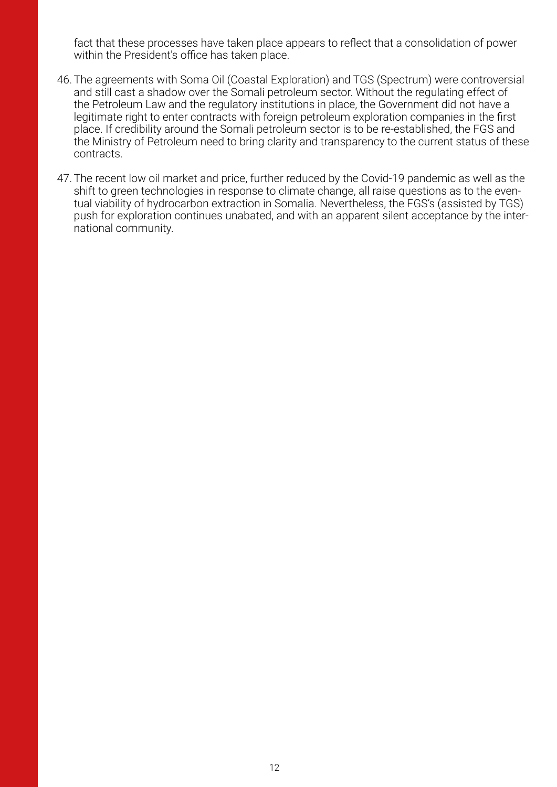fact that these processes have taken place appears to reflect that a consolidation of power within the President's office has taken place.

- 46. The agreements with Soma Oil (Coastal Exploration) and TGS (Spectrum) were controversial and still cast a shadow over the Somali petroleum sector. Without the regulating effect of the Petroleum Law and the regulatory institutions in place, the Government did not have a legitimate right to enter contracts with foreign petroleum exploration companies in the first place. If credibility around the Somali petroleum sector is to be re-established, the FGS and the Ministry of Petroleum need to bring clarity and transparency to the current status of these contracts.
- 47. The recent low oil market and price, further reduced by the Covid-19 pandemic as well as the shift to green technologies in response to climate change, all raise questions as to the eventual viability of hydrocarbon extraction in Somalia. Nevertheless, the FGS's (assisted by TGS) push for exploration continues unabated, and with an apparent silent acceptance by the international community.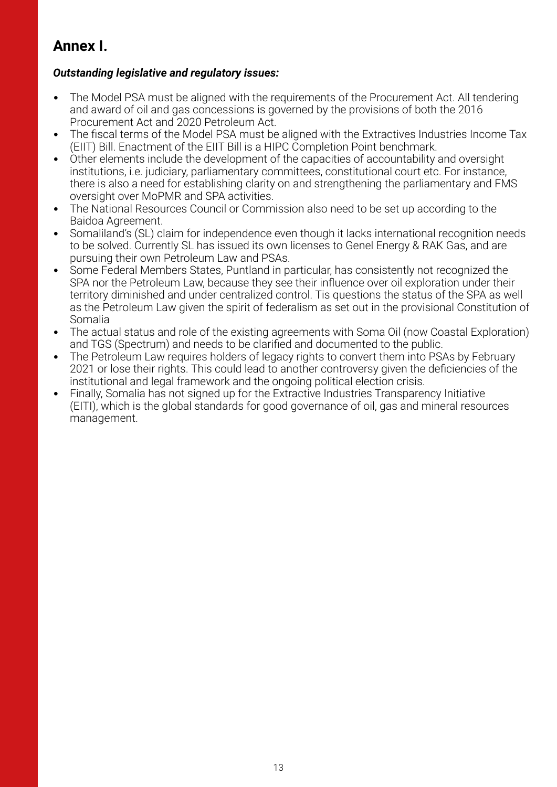# **Annex I.**

#### *Outstanding legislative and regulatory issues:*

- The Model PSA must be aligned with the requirements of the Procurement Act. All tendering and award of oil and gas concessions is governed by the provisions of both the 2016 Procurement Act and 2020 Petroleum Act.
- The fiscal terms of the Model PSA must be aligned with the Extractives Industries Income Tax (EIIT) Bill. Enactment of the EIIT Bill is a HIPC Completion Point benchmark.
- Other elements include the development of the capacities of accountability and oversight institutions, i.e. judiciary, parliamentary committees, constitutional court etc. For instance, there is also a need for establishing clarity on and strengthening the parliamentary and FMS oversight over MoPMR and SPA activities.
- The National Resources Council or Commission also need to be set up according to the Baidoa Agreement.
- Somaliland's (SL) claim for independence even though it lacks international recognition needs to be solved. Currently SL has issued its own licenses to Genel Energy & RAK Gas, and are pursuing their own Petroleum Law and PSAs.
- Some Federal Members States, Puntland in particular, has consistently not recognized the SPA nor the Petroleum Law, because they see their influence over oil exploration under their territory diminished and under centralized control. Tis questions the status of the SPA as well as the Petroleum Law given the spirit of federalism as set out in the provisional Constitution of Somalia
- The actual status and role of the existing agreements with Soma Oil (now Coastal Exploration) and TGS (Spectrum) and needs to be clarified and documented to the public.
- The Petroleum Law requires holders of legacy rights to convert them into PSAs by February 2021 or lose their rights. This could lead to another controversy given the deficiencies of the institutional and legal framework and the ongoing political election crisis.
- Finally, Somalia has not signed up for the Extractive Industries Transparency Initiative (EITI), which is the global standards for good governance of oil, gas and mineral resources management.